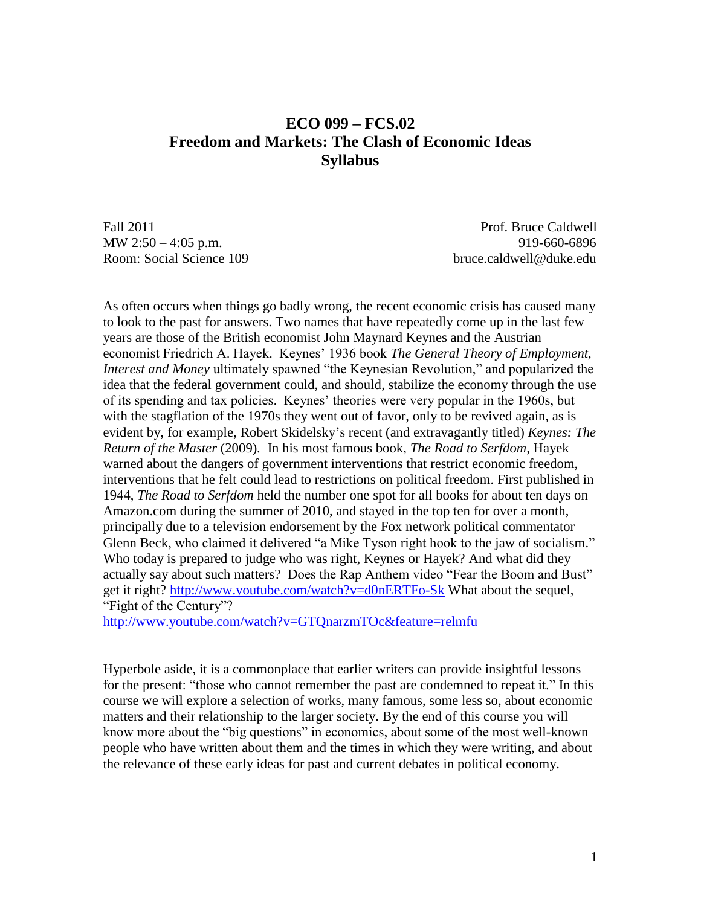# **ECO 099 – FCS.02 Freedom and Markets: The Clash of Economic Ideas Syllabus**

Fall 2011 **Prof. Bruce Caldwell** MW 2:50 – 4:05 p.m. 919-660-6896 Room: Social Science 109 bruce.caldwell@duke.edu

As often occurs when things go badly wrong, the recent economic crisis has caused many to look to the past for answers. Two names that have repeatedly come up in the last few years are those of the British economist John Maynard Keynes and the Austrian economist Friedrich A. Hayek. Keynes' 1936 book *The General Theory of Employment, Interest and Money* ultimately spawned "the Keynesian Revolution," and popularized the idea that the federal government could, and should, stabilize the economy through the use of its spending and tax policies. Keynes' theories were very popular in the 1960s, but with the stagflation of the 1970s they went out of favor, only to be revived again, as is evident by, for example, Robert Skidelsky's recent (and extravagantly titled) *Keynes: The Return of the Master* (2009)*.* In his most famous book, *The Road to Serfdom,* Hayek warned about the dangers of government interventions that restrict economic freedom, interventions that he felt could lead to restrictions on political freedom. First published in 1944, *The Road to Serfdom* held the number one spot for all books for about ten days on Amazon.com during the summer of 2010, and stayed in the top ten for over a month, principally due to a television endorsement by the Fox network political commentator Glenn Beck, who claimed it delivered "a Mike Tyson right hook to the jaw of socialism." Who today is prepared to judge who was right, Keynes or Hayek? And what did they actually say about such matters? Does the Rap Anthem video "Fear the Boom and Bust" get it right? <http://www.youtube.com/watch?v=d0nERTFo-Sk> What about the sequel, "Fight of the Century"?

<http://www.youtube.com/watch?v=GTQnarzmTOc&feature=relmfu>

Hyperbole aside, it is a commonplace that earlier writers can provide insightful lessons for the present: "those who cannot remember the past are condemned to repeat it." In this course we will explore a selection of works, many famous, some less so, about economic matters and their relationship to the larger society. By the end of this course you will know more about the "big questions" in economics, about some of the most well-known people who have written about them and the times in which they were writing, and about the relevance of these early ideas for past and current debates in political economy.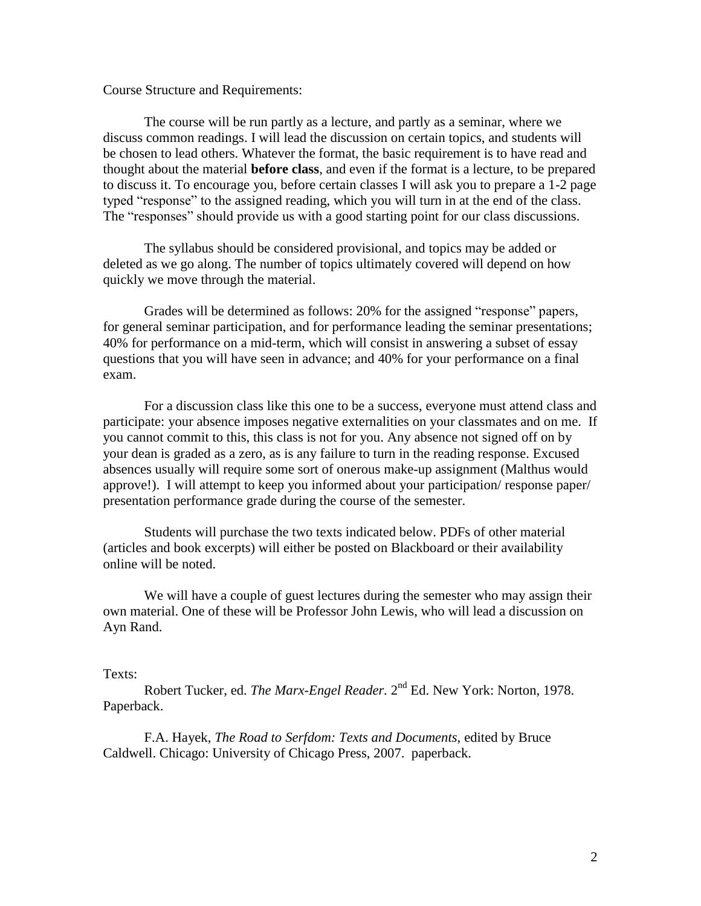Course Structure and Requirements:

The course will be run partly as a lecture, and partly as a seminar, where we discuss common readings. I will lead the discussion on certain topics, and students will be chosen to lead others. Whatever the format, the basic requirement is to have read and thought about the material **before class**, and even if the format is a lecture, to be prepared to discuss it. To encourage you, before certain classes I will ask you to prepare a 1-2 page typed "response" to the assigned reading, which you will turn in at the end of the class. The "responses" should provide us with a good starting point for our class discussions.

The syllabus should be considered provisional, and topics may be added or deleted as we go along. The number of topics ultimately covered will depend on how quickly we move through the material.

Grades will be determined as follows: 20% for the assigned "response" papers, for general seminar participation, and for performance leading the seminar presentations; 40% for performance on a mid-term, which will consist in answering a subset of essay questions that you will have seen in advance; and 40% for your performance on a final exam.

For a discussion class like this one to be a success, everyone must attend class and participate: your absence imposes negative externalities on your classmates and on me. If you cannot commit to this, this class is not for you. Any absence not signed off on by your dean is graded as a zero, as is any failure to turn in the reading response. Excused absences usually will require some sort of onerous make-up assignment (Malthus would approve!). I will attempt to keep you informed about your participation/ response paper/ presentation performance grade during the course of the semester.

Students will purchase the two texts indicated below. PDFs of other material (articles and book excerpts) will either be posted on Blackboard or their availability online will be noted.

We will have a couple of guest lectures during the semester who may assign their own material. One of these will be Professor John Lewis, who will lead a discussion on Ayn Rand.

#### Texts:

Robert Tucker, ed. *The Marx-Engel Reader*. 2<sup>nd</sup> Ed. New York: Norton, 1978. Paperback.

F.A. Hayek, *The Road to Serfdom: Texts and Documents,* edited by Bruce Caldwell. Chicago: University of Chicago Press, 2007. paperback.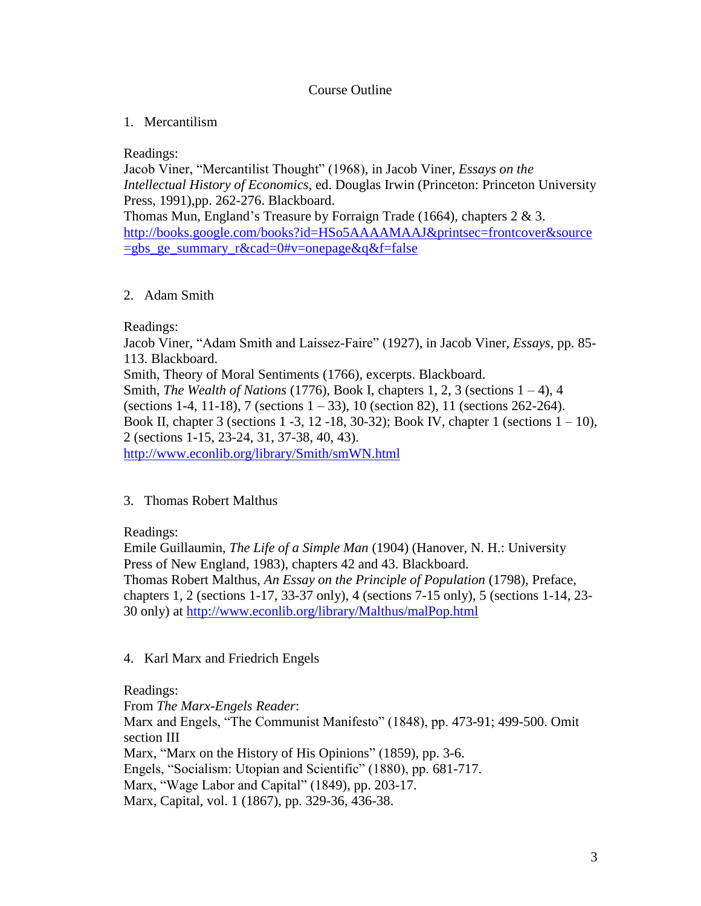#### Course Outline

### 1. Mercantilism

Readings:

Jacob Viner, "Mercantilist Thought" (1968), in Jacob Viner, *Essays on the Intellectual History of Economics,* ed. Douglas Irwin (Princeton: Princeton University Press, 1991),pp. 262-276. Blackboard.

Thomas Mun, England's Treasure by Forraign Trade (1664), chapters 2 & 3. [http://books.google.com/books?id=HSo5AAAAMAAJ&printsec=frontcover&source](http://books.google.com/books?id=HSo5AAAAMAAJ&printsec=frontcover&source=gbs_ge_summary_r&cad=0#v=onepage&q&f=false)  $=$ gbs ge summary r&cad=0#v=onepage&q&f=false

#### 2. Adam Smith

Readings:

Jacob Viner, "Adam Smith and Laissez-Faire" (1927), in Jacob Viner, *Essays,* pp. 85- 113. Blackboard.

Smith, Theory of Moral Sentiments (1766), excerpts. Blackboard. Smith, *The Wealth of Nations* (1776), Book I, chapters 1, 2, 3 (sections 1 – 4), 4 (sections 1-4, 11-18), 7 (sections 1 – 33), 10 (section 82), 11 (sections 262-264). Book II, chapter 3 (sections  $1 - 3$ ,  $12 - 18$ ,  $30 - 32$ ); Book IV, chapter 1 (sections  $1 - 10$ ), 2 (sections 1-15, 23-24, 31, 37-38, 40, 43). <http://www.econlib.org/library/Smith/smWN.html>

# 3. Thomas Robert Malthus

Readings:

Emile Guillaumin, *The Life of a Simple Man* (1904) (Hanover, N. H.: University Press of New England, 1983), chapters 42 and 43. Blackboard. Thomas Robert Malthus, *An Essay on the Principle of Population* (1798)*,* Preface, chapters 1, 2 (sections 1-17, 33-37 only), 4 (sections 7-15 only), 5 (sections 1-14, 23- 30 only) at<http://www.econlib.org/library/Malthus/malPop.html>

4. Karl Marx and Friedrich Engels

Readings:

From *The Marx-Engels Reader*: Marx and Engels, "The Communist Manifesto" (1848), pp. 473-91; 499-500. Omit section III Marx, "Marx on the History of His Opinions" (1859), pp. 3-6. Engels, "Socialism: Utopian and Scientific" (1880), pp. 681-717. Marx, "Wage Labor and Capital" (1849), pp. 203-17. Marx, Capital, vol. 1 (1867), pp. 329-36, 436-38.